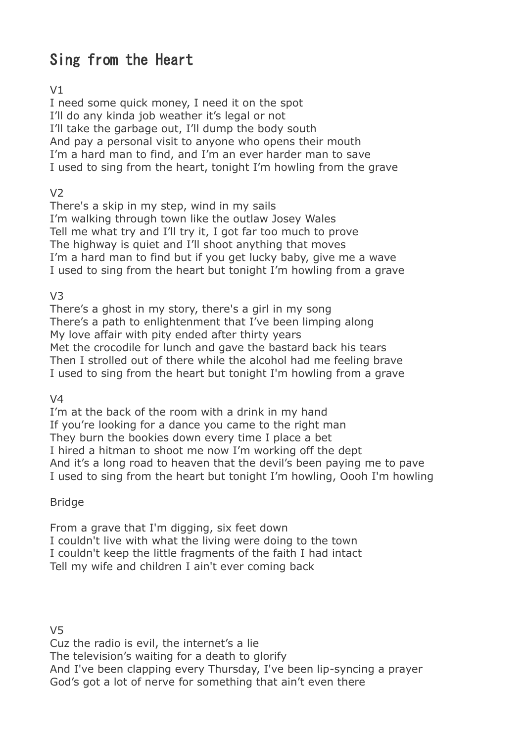# Sing from the Heart

## V1

I need some quick money, I need it on the spot I'll do any kinda job weather it's legal or not I'll take the garbage out, I'll dump the body south And pay a personal visit to anyone who opens their mouth I'm a hard man to find, and I'm an ever harder man to save I used to sing from the heart, tonight I'm howling from the grave

## $V<sub>2</sub>$

There's a skip in my step, wind in my sails I'm walking through town like the outlaw Josey Wales Tell me what try and I'll try it, I got far too much to prove The highway is quiet and I'll shoot anything that moves I'm a hard man to find but if you get lucky baby, give me a wave I used to sing from the heart but tonight I'm howling from a grave

### V3

There's a ghost in my story, there's a girl in my song There's a path to enlightenment that I've been limping along My love affair with pity ended after thirty years Met the crocodile for lunch and gave the bastard back his tears Then I strolled out of there while the alcohol had me feeling brave I used to sing from the heart but tonight I'm howling from a grave

V4

I'm at the back of the room with a drink in my hand If you're looking for a dance you came to the right man They burn the bookies down every time I place a bet I hired a hitman to shoot me now I'm working off the dept And it's a long road to heaven that the devil's been paying me to pave I used to sing from the heart but tonight I'm howling, Oooh I'm howling

### Bridge

From a grave that I'm digging, six feet down I couldn't live with what the living were doing to the town I couldn't keep the little fragments of the faith I had intact Tell my wife and children I ain't ever coming back

V5

Cuz the radio is evil, the internet's a lie The television's waiting for a death to glorify And I've been clapping every Thursday, I've been lip-syncing a prayer God's got a lot of nerve for something that ain't even there